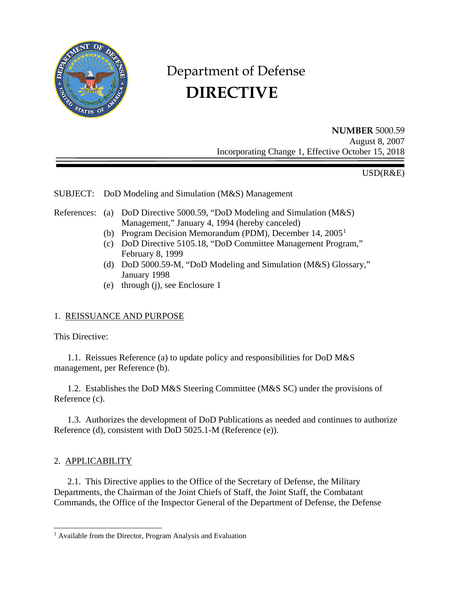

# Department of Defense  **DIRECTIVE**

**NUMBER** 5000.59 August 8, 2007 Incorporating Change 1, Effective October 15, 2018

USD(R&E)

SUBJECT: DoD Modeling and Simulation (M&S) Management

- References: (a) DoD Directive 5000.59, "DoD Modeling and Simulation (M&S) Management," January 4, 1994 (hereby canceled)
	- (b) Program Decision Memorandum (PDM), December 14, 2005[1](#page-0-0)
	- (c) DoD Directive 5105.18, "DoD Committee Management Program," February 8, 1999
	- (d) DoD 5000.59-M, "DoD Modeling and Simulation (M&S) Glossary," January 1998
	- (e) through (j), see Enclosure 1

# 1. REISSUANCE AND PURPOSE

This Directive:

1.1. Reissues Reference (a) to update policy and responsibilities for DoD M&S management, per Reference (b).

1.2. Establishes the DoD M&S Steering Committee (M&S SC) under the provisions of Reference (c).

1.3. Authorizes the development of DoD Publications as needed and continues to authorize Reference (d), consistent with DoD 5025.1-M (Reference (e)).

## 2. APPLICABILITY

2.1. This Directive applies to the Office of the Secretary of Defense, the Military Departments, the Chairman of the Joint Chiefs of Staff, the Joint Staff, the Combatant Commands, the Office of the Inspector General of the Department of Defense, the Defense

<span id="page-0-0"></span><sup>&</sup>lt;sup>1</sup> Available from the Director, Program Analysis and Evaluation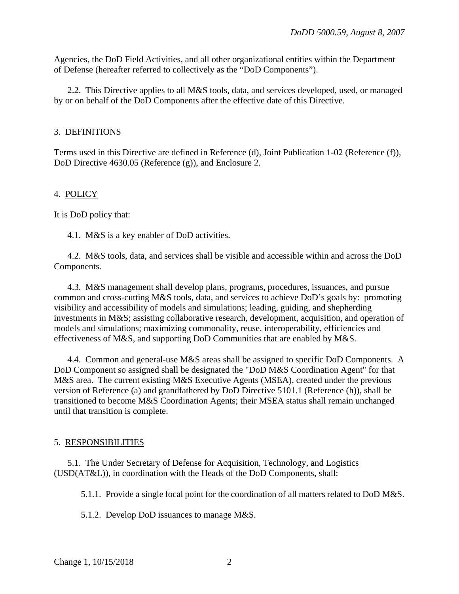Agencies, the DoD Field Activities, and all other organizational entities within the Department of Defense (hereafter referred to collectively as the "DoD Components").

2.2. This Directive applies to all M&S tools, data, and services developed, used, or managed by or on behalf of the DoD Components after the effective date of this Directive.

#### 3. DEFINITIONS

Terms used in this Directive are defined in Reference (d), Joint Publication 1-02 (Reference (f)), DoD Directive 4630.05 (Reference (g)), and Enclosure 2.

## 4. POLICY

It is DoD policy that:

4.1. M&S is a key enabler of DoD activities.

4.2. M&S tools, data, and services shall be visible and accessible within and across the DoD Components.

4.3. M&S management shall develop plans, programs, procedures, issuances, and pursue common and cross-cutting M&S tools, data, and services to achieve DoD's goals by: promoting visibility and accessibility of models and simulations; leading, guiding, and shepherding investments in M&S; assisting collaborative research, development, acquisition, and operation of models and simulations; maximizing commonality, reuse, interoperability, efficiencies and effectiveness of M&S, and supporting DoD Communities that are enabled by M&S.

4.4. Common and general-use M&S areas shall be assigned to specific DoD Components. A DoD Component so assigned shall be designated the "DoD M&S Coordination Agent" for that M&S area. The current existing M&S Executive Agents (MSEA), created under the previous version of Reference (a) and grandfathered by DoD Directive 5101.1 (Reference (h)), shall be transitioned to become M&S Coordination Agents; their MSEA status shall remain unchanged until that transition is complete.

## 5. RESPONSIBILITIES

5.1. The Under Secretary of Defense for Acquisition, Technology, and Logistics (USD(AT&L)), in coordination with the Heads of the DoD Components, shall:

5.1.1. Provide a single focal point for the coordination of all matters related to DoD M&S.

5.1.2. Develop DoD issuances to manage M&S.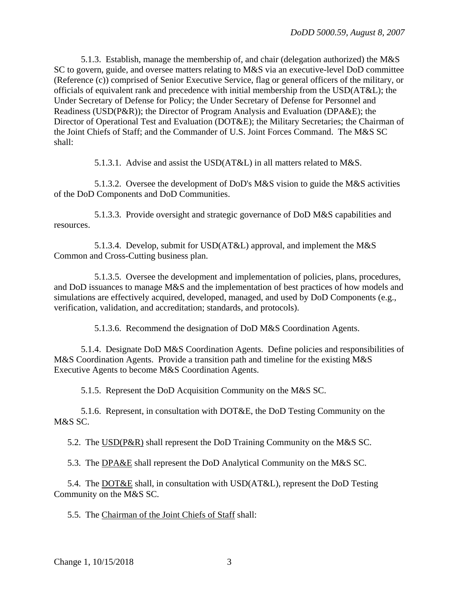5.1.3. Establish, manage the membership of, and chair (delegation authorized) the M&S SC to govern, guide, and oversee matters relating to M&S via an executive-level DoD committee (Reference (c)) comprised of Senior Executive Service, flag or general officers of the military, or officials of equivalent rank and precedence with initial membership from the USD(AT&L); the Under Secretary of Defense for Policy; the Under Secretary of Defense for Personnel and Readiness (USD(P&R)); the Director of Program Analysis and Evaluation (DPA&E); the Director of Operational Test and Evaluation (DOT&E); the Military Secretaries; the Chairman of the Joint Chiefs of Staff; and the Commander of U.S. Joint Forces Command. The M&S SC shall:

5.1.3.1. Advise and assist the USD(AT&L) in all matters related to M&S.

5.1.3.2. Oversee the development of DoD's M&S vision to guide the M&S activities of the DoD Components and DoD Communities.

5.1.3.3. Provide oversight and strategic governance of DoD M&S capabilities and resources.

5.1.3.4. Develop, submit for USD(AT&L) approval, and implement the M&S Common and Cross-Cutting business plan.

5.1.3.5. Oversee the development and implementation of policies, plans, procedures, and DoD issuances to manage M&S and the implementation of best practices of how models and simulations are effectively acquired, developed, managed, and used by DoD Components (e.g., verification, validation, and accreditation; standards, and protocols).

5.1.3.6. Recommend the designation of DoD M&S Coordination Agents.

5.1.4. Designate DoD M&S Coordination Agents. Define policies and responsibilities of M&S Coordination Agents. Provide a transition path and timeline for the existing M&S Executive Agents to become M&S Coordination Agents.

5.1.5. Represent the DoD Acquisition Community on the M&S SC.

5.1.6. Represent, in consultation with DOT&E, the DoD Testing Community on the M&S SC.

5.2. The USD(P&R) shall represent the DoD Training Community on the M&S SC.

5.3. The DPA&E shall represent the DoD Analytical Community on the M&S SC.

5.4. The DOT&E shall, in consultation with USD(AT&L), represent the DoD Testing Community on the M&S SC.

5.5. The Chairman of the Joint Chiefs of Staff shall: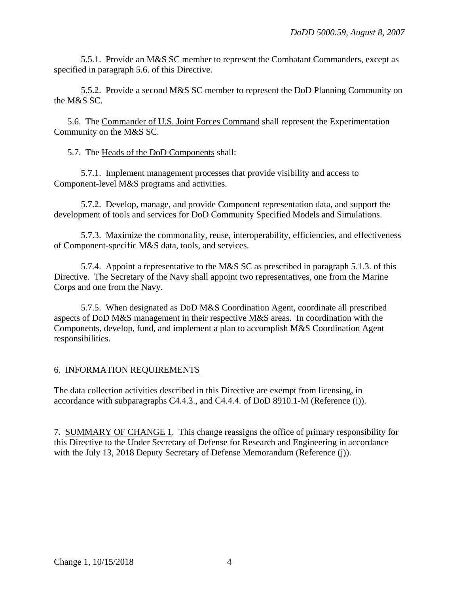5.5.1. Provide an M&S SC member to represent the Combatant Commanders, except as specified in paragraph 5.6. of this Directive.

5.5.2. Provide a second M&S SC member to represent the DoD Planning Community on the M&S SC.

5.6. The Commander of U.S. Joint Forces Command shall represent the Experimentation Community on the M&S SC.

5.7. The Heads of the DoD Components shall:

5.7.1. Implement management processes that provide visibility and access to Component-level M&S programs and activities.

5.7.2. Develop, manage, and provide Component representation data, and support the development of tools and services for DoD Community Specified Models and Simulations.

5.7.3. Maximize the commonality, reuse, interoperability, efficiencies, and effectiveness of Component-specific M&S data, tools, and services.

5.7.4. Appoint a representative to the M&S SC as prescribed in paragraph 5.1.3. of this Directive. The Secretary of the Navy shall appoint two representatives, one from the Marine Corps and one from the Navy.

5.7.5. When designated as DoD M&S Coordination Agent, coordinate all prescribed aspects of DoD M&S management in their respective M&S areas. In coordination with the Components, develop, fund, and implement a plan to accomplish M&S Coordination Agent responsibilities.

# 6. INFORMATION REQUIREMENTS

The data collection activities described in this Directive are exempt from licensing, in accordance with subparagraphs C4.4.3., and C4.4.4. of DoD 8910.1-M (Reference (i)).

7. SUMMARY OF CHANGE 1. This change reassigns the office of primary responsibility for this Directive to the Under Secretary of Defense for Research and Engineering in accordance with the July 13, 2018 Deputy Secretary of Defense Memorandum (Reference (j)).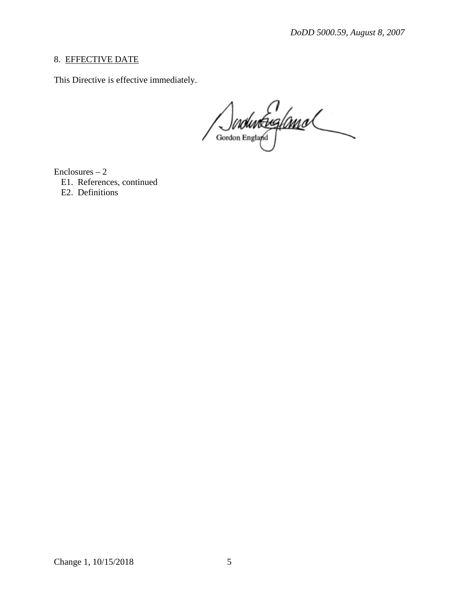## 8. EFFECTIVE DATE

This Directive is effective immediately.

Enclosures – 2

E1. References, continued

E2. Definitions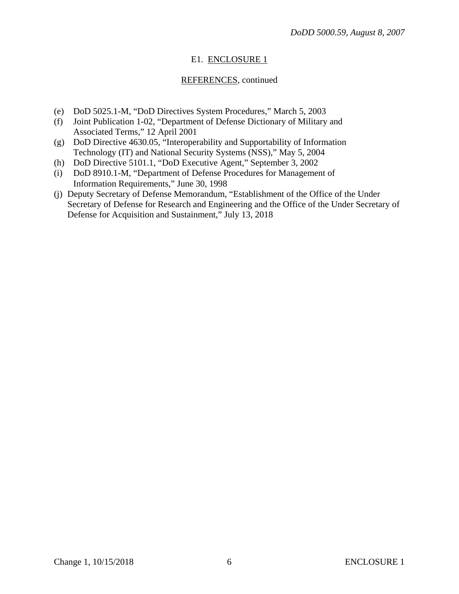## E1. ENCLOSURE 1

## REFERENCES, continued

- (e) DoD 5025.1-M, "DoD Directives System Procedures," March 5, 2003
- (f) Joint Publication 1-02, "Department of Defense Dictionary of Military and Associated Terms," 12 April 2001
- (g) DoD Directive 4630.05, "Interoperability and Supportability of Information Technology (IT) and National Security Systems (NSS)," May 5, 2004
- (h) DoD Directive 5101.1, "DoD Executive Agent," September 3, 2002
- (i) DoD 8910.1-M, "Department of Defense Procedures for Management of Information Requirements," June 30, 1998
- (j) Deputy Secretary of Defense Memorandum, "Establishment of the Office of the Under Secretary of Defense for Research and Engineering and the Office of the Under Secretary of Defense for Acquisition and Sustainment," July 13, 2018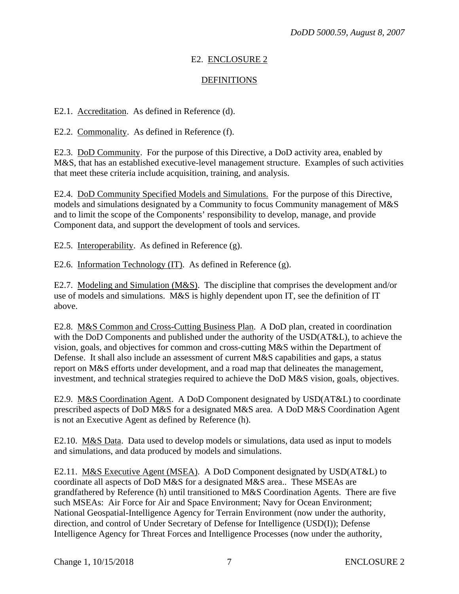## E2. ENCLOSURE 2

## **DEFINITIONS**

E2.1. Accreditation. As defined in Reference (d).

E2.2. Commonality. As defined in Reference (f).

E2.3. DoD Community. For the purpose of this Directive, a DoD activity area, enabled by M&S, that has an established executive-level management structure. Examples of such activities that meet these criteria include acquisition, training, and analysis.

E2.4. DoD Community Specified Models and Simulations. For the purpose of this Directive, models and simulations designated by a Community to focus Community management of M&S and to limit the scope of the Components' responsibility to develop, manage, and provide Component data, and support the development of tools and services.

E2.5. Interoperability. As defined in Reference (g).

E2.6. Information Technology (IT). As defined in Reference (g).

E2.7. Modeling and Simulation (M&S). The discipline that comprises the development and/or use of models and simulations. M&S is highly dependent upon IT, see the definition of IT above.

E2.8. M&S Common and Cross-Cutting Business Plan. A DoD plan, created in coordination with the DoD Components and published under the authority of the USD(AT&L), to achieve the vision, goals, and objectives for common and cross-cutting M&S within the Department of Defense. It shall also include an assessment of current M&S capabilities and gaps, a status report on M&S efforts under development, and a road map that delineates the management, investment, and technical strategies required to achieve the DoD M&S vision, goals, objectives.

E2.9. M&S Coordination Agent. A DoD Component designated by USD(AT&L) to coordinate prescribed aspects of DoD M&S for a designated M&S area. A DoD M&S Coordination Agent is not an Executive Agent as defined by Reference (h).

E2.10. M&S Data. Data used to develop models or simulations, data used as input to models and simulations, and data produced by models and simulations.

E2.11. M&S Executive Agent (MSEA). A DoD Component designated by USD(AT&L) to coordinate all aspects of DoD M&S for a designated M&S area.. These MSEAs are grandfathered by Reference (h) until transitioned to M&S Coordination Agents. There are five such MSEAs: Air Force for Air and Space Environment; Navy for Ocean Environment; National Geospatial-Intelligence Agency for Terrain Environment (now under the authority, direction, and control of Under Secretary of Defense for Intelligence (USD(I)); Defense Intelligence Agency for Threat Forces and Intelligence Processes (now under the authority,